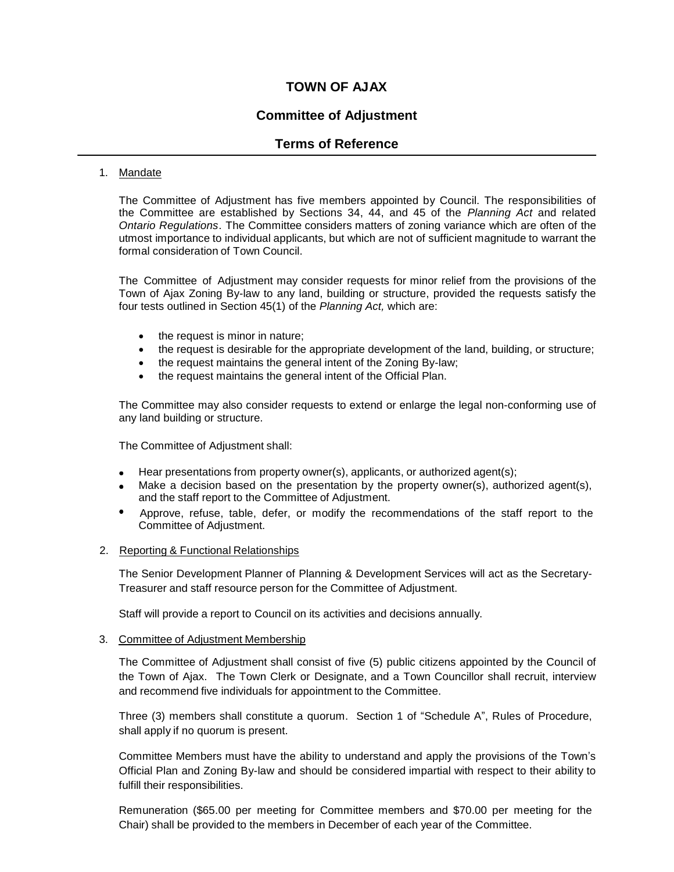# **TOWN OF AJAX**

# **Committee of Adjustment**

## **Terms of Reference**

## 1. Mandate

The Committee of Adjustment has five members appointed by Council. The responsibilities of the Committee are established by Sections 34, 44, and 45 of the *Planning Act* and related *Ontario Regulations*. The Committee considers matters of zoning variance which are often of the utmost importance to individual applicants, but which are not of sufficient magnitude to warrant the formal consideration of Town Council.

The Committee of Adjustment may consider requests for minor relief from the provisions of the Town of Ajax Zoning By-law to any land, building or structure, provided the requests satisfy the four tests outlined in Section 45(1) of the *Planning Act,* which are:

- the request is minor in nature;
- the request is desirable for the appropriate development of the land, building, or structure;
- the request maintains the general intent of the Zoning By-law;
- the request maintains the general intent of the Official Plan.

The Committee may also consider requests to extend or enlarge the legal non-conforming use of any land building or structure.

The Committee of Adjustment shall:

- Hear presentations from property owner(s), applicants, or authorized agent(s);
- $\bullet$  Make a decision based on the presentation by the property owner(s), authorized agent(s), and the staff report to the Committee of Adjustment.
- Approve, refuse, table, defer, or modify the recommendations of the staff report to the Committee of Adjustment.

#### 2. Reporting & Functional Relationships

The Senior Development Planner of Planning & Development Services will act as the Secretary-Treasurer and staff resource person for the Committee of Adjustment.

Staff will provide a report to Council on its activities and decisions annually.

#### 3. Committee of Adjustment Membership

The Committee of Adjustment shall consist of five (5) public citizens appointed by the Council of the Town of Ajax. The Town Clerk or Designate, and a Town Councillor shall recruit, interview and recommend five individuals for appointment to the Committee.

Three (3) members shall constitute a quorum. Section 1 of "Schedule A", Rules of Procedure, shall apply if no quorum is present.

Committee Members must have the ability to understand and apply the provisions of the Town's Official Plan and Zoning By-law and should be considered impartial with respect to their ability to fulfill their responsibilities.

Remuneration (\$65.00 per meeting for Committee members and \$70.00 per meeting for the Chair) shall be provided to the members in December of each year of the Committee.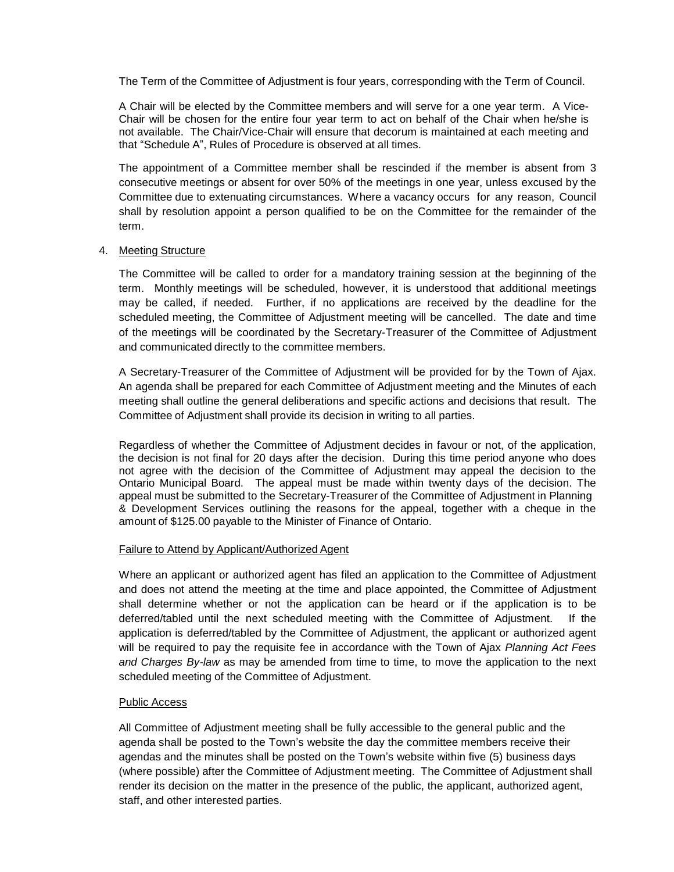The Term of the Committee of Adjustment is four years, corresponding with the Term of Council.

A Chair will be elected by the Committee members and will serve for a one year term. A Vice-Chair will be chosen for the entire four year term to act on behalf of the Chair when he/she is not available. The Chair/Vice-Chair will ensure that decorum is maintained at each meeting and that "Schedule A", Rules of Procedure is observed at all times.

The appointment of a Committee member shall be rescinded if the member is absent from 3 consecutive meetings or absent for over 50% of the meetings in one year, unless excused by the Committee due to extenuating circumstances. Where a vacancy occurs for any reason, Council shall by resolution appoint a person qualified to be on the Committee for the remainder of the term.

#### 4. Meeting Structure

The Committee will be called to order for a mandatory training session at the beginning of the term. Monthly meetings will be scheduled, however, it is understood that additional meetings may be called, if needed. Further, if no applications are received by the deadline for the scheduled meeting, the Committee of Adjustment meeting will be cancelled. The date and time of the meetings will be coordinated by the Secretary-Treasurer of the Committee of Adjustment and communicated directly to the committee members.

A Secretary-Treasurer of the Committee of Adjustment will be provided for by the Town of Ajax. An agenda shall be prepared for each Committee of Adjustment meeting and the Minutes of each meeting shall outline the general deliberations and specific actions and decisions that result. The Committee of Adjustment shall provide its decision in writing to all parties.

Regardless of whether the Committee of Adjustment decides in favour or not, of the application, the decision is not final for 20 days after the decision. During this time period anyone who does not agree with the decision of the Committee of Adjustment may appeal the decision to the Ontario Municipal Board. The appeal must be made within twenty days of the decision. The appeal must be submitted to the Secretary-Treasurer of the Committee of Adjustment in Planning & Development Services outlining the reasons for the appeal, together with a cheque in the amount of \$125.00 payable to the Minister of Finance of Ontario.

#### Failure to Attend by Applicant/Authorized Agent

Where an applicant or authorized agent has filed an application to the Committee of Adjustment and does not attend the meeting at the time and place appointed, the Committee of Adjustment shall determine whether or not the application can be heard or if the application is to be deferred/tabled until the next scheduled meeting with the Committee of Adjustment. If the application is deferred/tabled by the Committee of Adjustment, the applicant or authorized agent will be required to pay the requisite fee in accordance with the Town of Ajax *Planning Act Fees and Charges By-law* as may be amended from time to time, to move the application to the next scheduled meeting of the Committee of Adjustment.

#### Public Access

All Committee of Adjustment meeting shall be fully accessible to the general public and the agenda shall be posted to the Town's website the day the committee members receive their agendas and the minutes shall be posted on the Town's website within five (5) business days (where possible) after the Committee of Adjustment meeting. The Committee of Adjustment shall render its decision on the matter in the presence of the public, the applicant, authorized agent, staff, and other interested parties.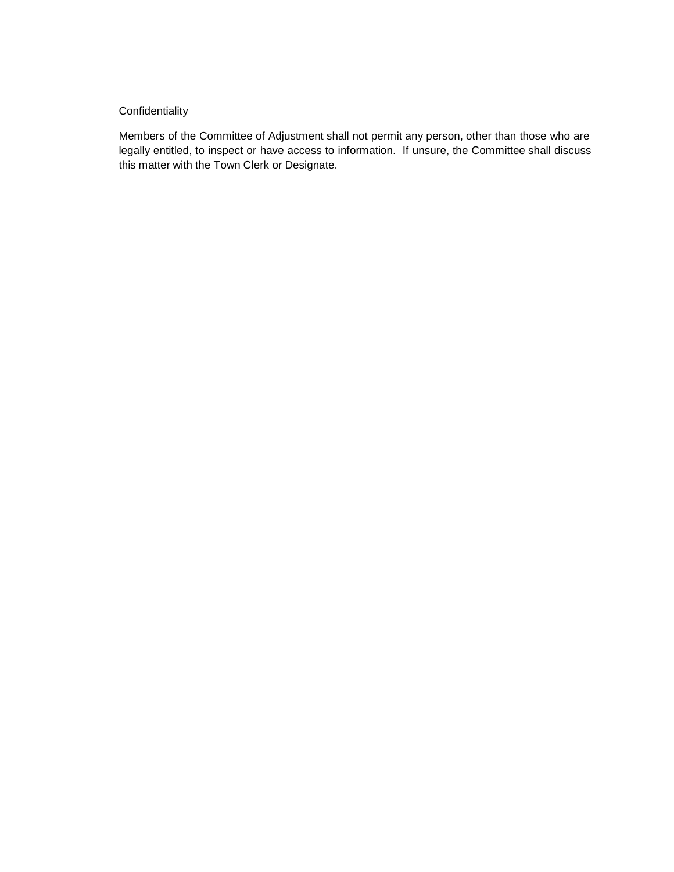## **Confidentiality**

Members of the Committee of Adjustment shall not permit any person, other than those who are legally entitled, to inspect or have access to information. If unsure, the Committee shall discuss this matter with the Town Clerk or Designate.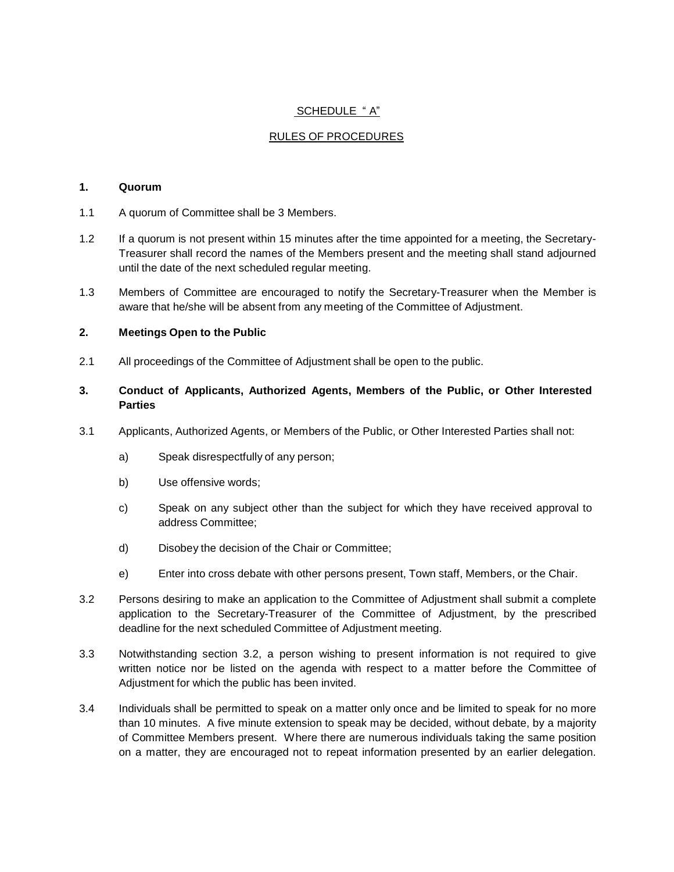## SCHEDULE "A"

## RULES OF PROCEDURES

#### **1. Quorum**

- 1.1 A quorum of Committee shall be 3 Members.
- 1.2 If a quorum is not present within 15 minutes after the time appointed for a meeting, the Secretary-Treasurer shall record the names of the Members present and the meeting shall stand adjourned until the date of the next scheduled regular meeting.
- 1.3 Members of Committee are encouraged to notify the Secretary-Treasurer when the Member is aware that he/she will be absent from any meeting of the Committee of Adjustment.

#### **2. Meetings Open to the Public**

2.1 All proceedings of the Committee of Adjustment shall be open to the public.

#### **3. Conduct of Applicants, Authorized Agents, Members of the Public, or Other Interested Parties**

- 3.1 Applicants, Authorized Agents, or Members of the Public, or Other Interested Parties shall not:
	- a) Speak disrespectfully of any person;
	- b) Use offensive words;
	- c) Speak on any subject other than the subject for which they have received approval to address Committee;
	- d) Disobey the decision of the Chair or Committee;
	- e) Enter into cross debate with other persons present, Town staff, Members, or the Chair.
- 3.2 Persons desiring to make an application to the Committee of Adjustment shall submit a complete application to the Secretary-Treasurer of the Committee of Adjustment, by the prescribed deadline for the next scheduled Committee of Adjustment meeting.
- 3.3 Notwithstanding section 3.2, a person wishing to present information is not required to give written notice nor be listed on the agenda with respect to a matter before the Committee of Adjustment for which the public has been invited.
- 3.4 Individuals shall be permitted to speak on a matter only once and be limited to speak for no more than 10 minutes. A five minute extension to speak may be decided, without debate, by a majority of Committee Members present. Where there are numerous individuals taking the same position on a matter, they are encouraged not to repeat information presented by an earlier delegation.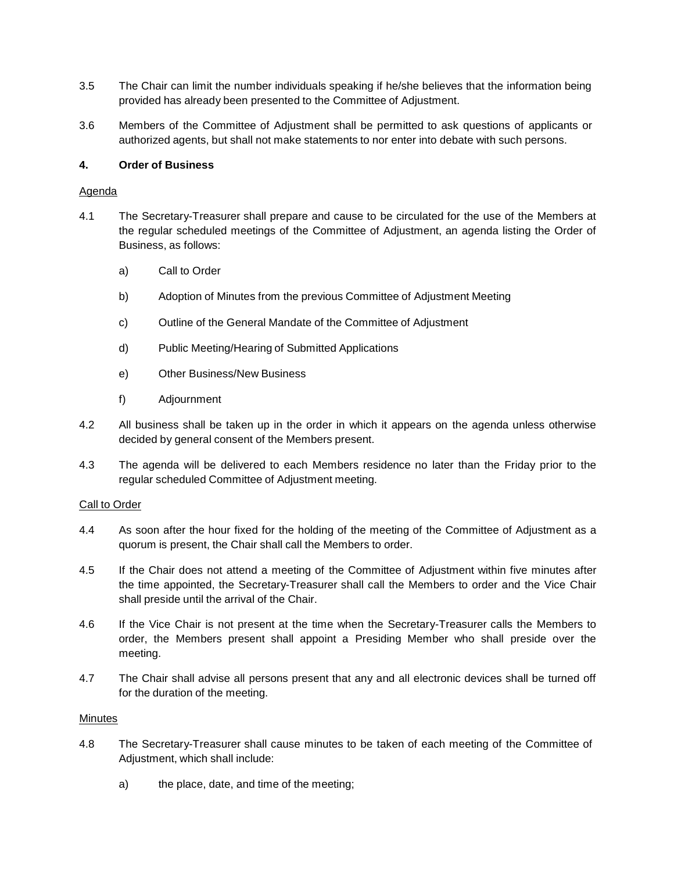- 3.5 The Chair can limit the number individuals speaking if he/she believes that the information being provided has already been presented to the Committee of Adjustment.
- 3.6 Members of the Committee of Adjustment shall be permitted to ask questions of applicants or authorized agents, but shall not make statements to nor enter into debate with such persons.

## **4. Order of Business**

#### Agenda

- 4.1 The Secretary-Treasurer shall prepare and cause to be circulated for the use of the Members at the regular scheduled meetings of the Committee of Adjustment, an agenda listing the Order of Business, as follows:
	- a) Call to Order
	- b) Adoption of Minutes from the previous Committee of Adjustment Meeting
	- c) Outline of the General Mandate of the Committee of Adjustment
	- d) Public Meeting/Hearing of Submitted Applications
	- e) Other Business/New Business
	- f) Adjournment
- 4.2 All business shall be taken up in the order in which it appears on the agenda unless otherwise decided by general consent of the Members present.
- 4.3 The agenda will be delivered to each Members residence no later than the Friday prior to the regular scheduled Committee of Adjustment meeting.

#### Call to Order

- 4.4 As soon after the hour fixed for the holding of the meeting of the Committee of Adjustment as a quorum is present, the Chair shall call the Members to order.
- 4.5 If the Chair does not attend a meeting of the Committee of Adjustment within five minutes after the time appointed, the Secretary-Treasurer shall call the Members to order and the Vice Chair shall preside until the arrival of the Chair.
- 4.6 If the Vice Chair is not present at the time when the Secretary-Treasurer calls the Members to order, the Members present shall appoint a Presiding Member who shall preside over the meeting.
- 4.7 The Chair shall advise all persons present that any and all electronic devices shall be turned off for the duration of the meeting.

#### Minutes

- 4.8 The Secretary-Treasurer shall cause minutes to be taken of each meeting of the Committee of Adjustment, which shall include:
	- a) the place, date, and time of the meeting;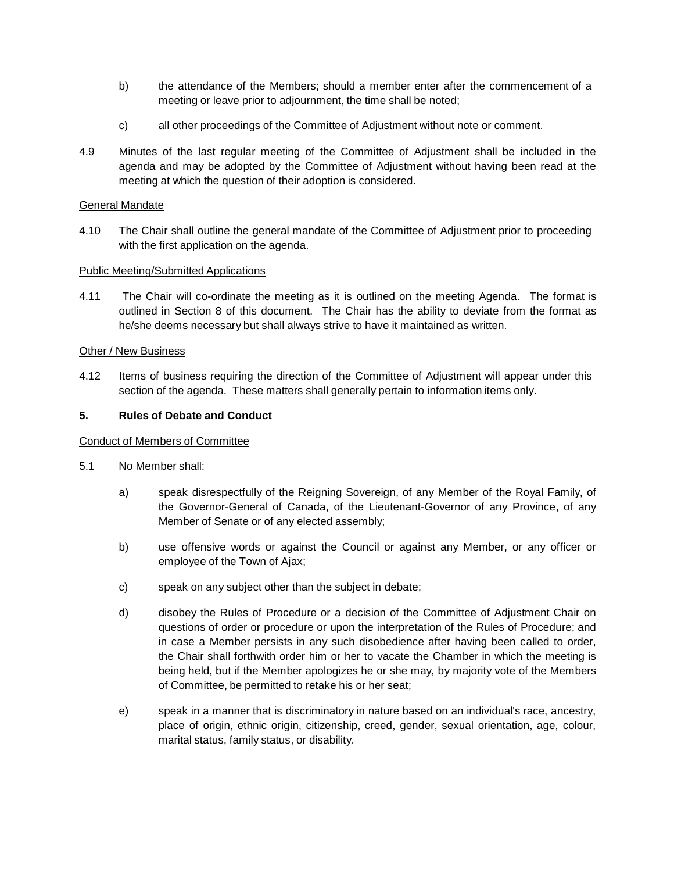- b) the attendance of the Members; should a member enter after the commencement of a meeting or leave prior to adjournment, the time shall be noted;
- c) all other proceedings of the Committee of Adjustment without note or comment.
- 4.9 Minutes of the last regular meeting of the Committee of Adjustment shall be included in the agenda and may be adopted by the Committee of Adjustment without having been read at the meeting at which the question of their adoption is considered.

## General Mandate

4.10 The Chair shall outline the general mandate of the Committee of Adjustment prior to proceeding with the first application on the agenda.

#### Public Meeting/Submitted Applications

4.11 The Chair will co-ordinate the meeting as it is outlined on the meeting Agenda. The format is outlined in Section 8 of this document. The Chair has the ability to deviate from the format as he/she deems necessary but shall always strive to have it maintained as written.

#### Other / New Business

4.12 Items of business requiring the direction of the Committee of Adjustment will appear under this section of the agenda. These matters shall generally pertain to information items only.

#### **5. Rules of Debate and Conduct**

#### Conduct of Members of Committee

- 5.1 No Member shall:
	- a) speak disrespectfully of the Reigning Sovereign, of any Member of the Royal Family, of the Governor-General of Canada, of the Lieutenant-Governor of any Province, of any Member of Senate or of any elected assembly;
	- b) use offensive words or against the Council or against any Member, or any officer or employee of the Town of Ajax;
	- c) speak on any subject other than the subject in debate;
	- d) disobey the Rules of Procedure or a decision of the Committee of Adjustment Chair on questions of order or procedure or upon the interpretation of the Rules of Procedure; and in case a Member persists in any such disobedience after having been called to order, the Chair shall forthwith order him or her to vacate the Chamber in which the meeting is being held, but if the Member apologizes he or she may, by majority vote of the Members of Committee, be permitted to retake his or her seat;
	- e) speak in a manner that is discriminatory in nature based on an individual's race, ancestry, place of origin, ethnic origin, citizenship, creed, gender, sexual orientation, age, colour, marital status, family status, or disability.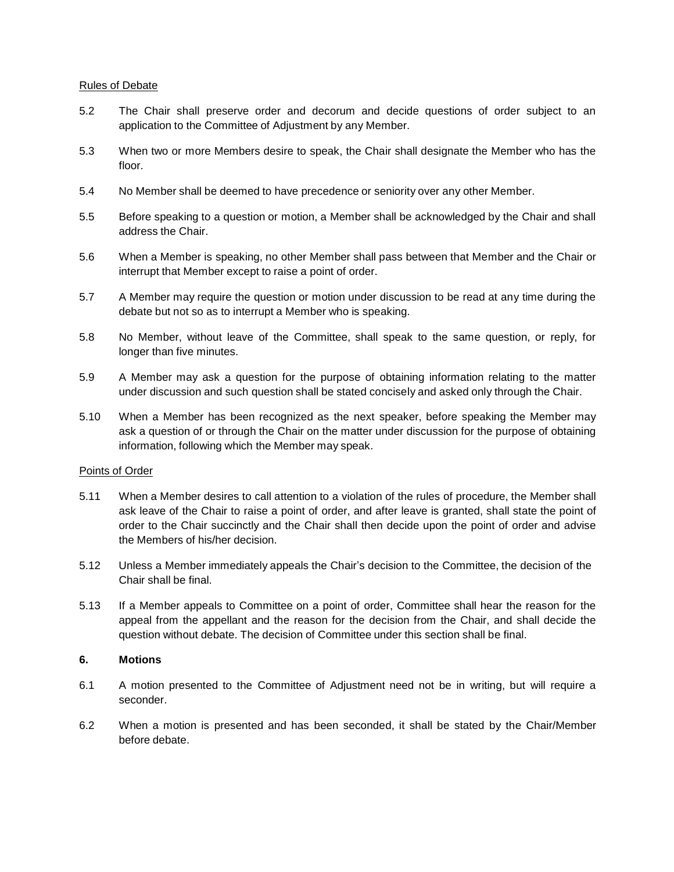#### Rules of Debate

- 5.2 The Chair shall preserve order and decorum and decide questions of order subject to an application to the Committee of Adjustment by any Member.
- 5.3 When two or more Members desire to speak, the Chair shall designate the Member who has the floor.
- 5.4 No Member shall be deemed to have precedence or seniority over any other Member.
- 5.5 Before speaking to a question or motion, a Member shall be acknowledged by the Chair and shall address the Chair.
- 5.6 When a Member is speaking, no other Member shall pass between that Member and the Chair or interrupt that Member except to raise a point of order.
- 5.7 A Member may require the question or motion under discussion to be read at any time during the debate but not so as to interrupt a Member who is speaking.
- 5.8 No Member, without leave of the Committee, shall speak to the same question, or reply, for longer than five minutes.
- 5.9 A Member may ask a question for the purpose of obtaining information relating to the matter under discussion and such question shall be stated concisely and asked only through the Chair.
- 5.10 When a Member has been recognized as the next speaker, before speaking the Member may ask a question of or through the Chair on the matter under discussion for the purpose of obtaining information, following which the Member may speak.

#### Points of Order

- 5.11 When a Member desires to call attention to a violation of the rules of procedure, the Member shall ask leave of the Chair to raise a point of order, and after leave is granted, shall state the point of order to the Chair succinctly and the Chair shall then decide upon the point of order and advise the Members of his/her decision.
- 5.12 Unless a Member immediately appeals the Chair's decision to the Committee, the decision of the Chair shall be final.
- 5.13 If a Member appeals to Committee on a point of order, Committee shall hear the reason for the appeal from the appellant and the reason for the decision from the Chair, and shall decide the question without debate. The decision of Committee under this section shall be final.

#### **6. Motions**

- 6.1 A motion presented to the Committee of Adjustment need not be in writing, but will require a seconder.
- 6.2 When a motion is presented and has been seconded, it shall be stated by the Chair/Member before debate.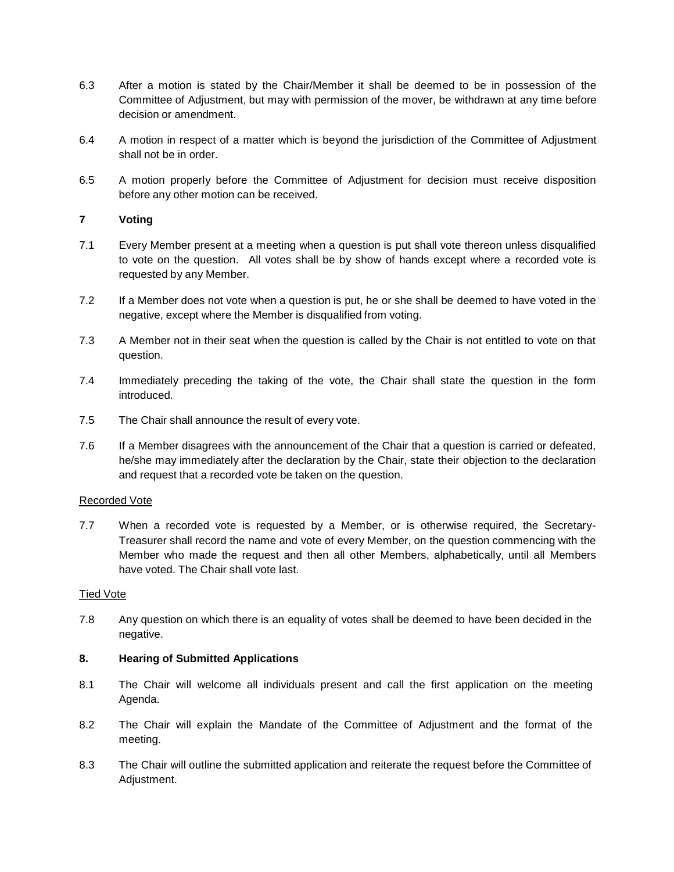- 6.3 After a motion is stated by the Chair/Member it shall be deemed to be in possession of the Committee of Adjustment, but may with permission of the mover, be withdrawn at any time before decision or amendment.
- 6.4 A motion in respect of a matter which is beyond the jurisdiction of the Committee of Adjustment shall not be in order.
- 6.5 A motion properly before the Committee of Adjustment for decision must receive disposition before any other motion can be received.

## **7 Voting**

- 7.1 Every Member present at a meeting when a question is put shall vote thereon unless disqualified to vote on the question. All votes shall be by show of hands except where a recorded vote is requested by any Member.
- 7.2 If a Member does not vote when a question is put, he or she shall be deemed to have voted in the negative, except where the Member is disqualified from voting.
- 7.3 A Member not in their seat when the question is called by the Chair is not entitled to vote on that question.
- 7.4 Immediately preceding the taking of the vote, the Chair shall state the question in the form introduced.
- 7.5 The Chair shall announce the result of every vote.
- 7.6 If a Member disagrees with the announcement of the Chair that a question is carried or defeated, he/she may immediately after the declaration by the Chair, state their objection to the declaration and request that a recorded vote be taken on the question.

#### Recorded Vote

7.7 When a recorded vote is requested by a Member, or is otherwise required, the Secretary-Treasurer shall record the name and vote of every Member, on the question commencing with the Member who made the request and then all other Members, alphabetically, until all Members have voted. The Chair shall vote last.

#### Tied Vote

7.8 Any question on which there is an equality of votes shall be deemed to have been decided in the negative.

#### **8. Hearing of Submitted Applications**

- 8.1 The Chair will welcome all individuals present and call the first application on the meeting Agenda.
- 8.2 The Chair will explain the Mandate of the Committee of Adjustment and the format of the meeting.
- 8.3 The Chair will outline the submitted application and reiterate the request before the Committee of Adjustment.